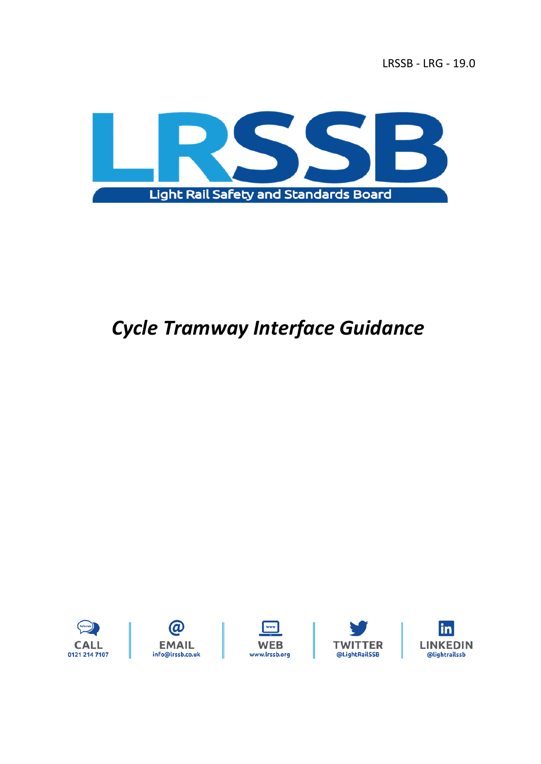

# *Cycle Tramway Interface Guidance*

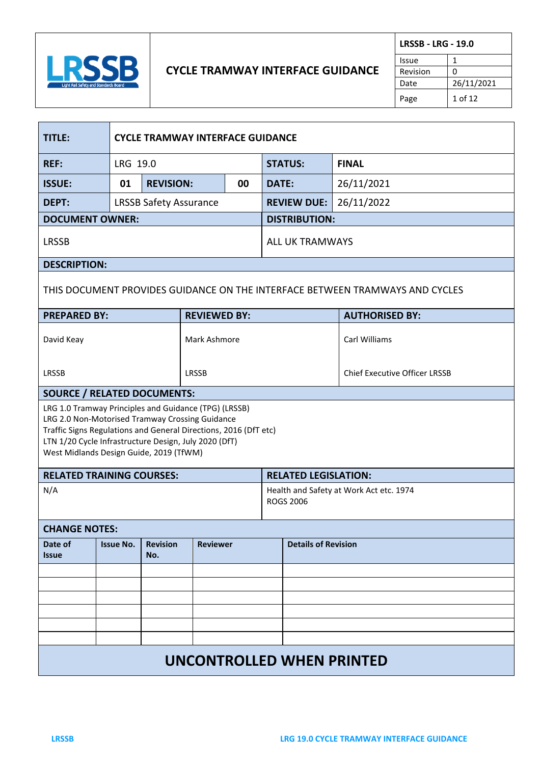

# **CYCLE TRAMWAY INTERFACE GUIDANCE**

| <b>LRSSB - LRG - 19.0</b> |            |  |
|---------------------------|------------|--|
| Issue                     |            |  |
| Revision                  | n          |  |
| Date                      | 26/11/2021 |  |
| Page                      | 1 of $12$  |  |

| <b>TITLE:</b>                                                                                                                                                                                                                                                                    |                  | <b>CYCLE TRAMWAY INTERFACE GUIDANCE</b> |                     |                |              |                                      |                                                                              |  |
|----------------------------------------------------------------------------------------------------------------------------------------------------------------------------------------------------------------------------------------------------------------------------------|------------------|-----------------------------------------|---------------------|----------------|--------------|--------------------------------------|------------------------------------------------------------------------------|--|
| <b>REF:</b>                                                                                                                                                                                                                                                                      |                  | LRG 19.0                                |                     | <b>STATUS:</b> |              | <b>FINAL</b>                         |                                                                              |  |
| <b>ISSUE:</b>                                                                                                                                                                                                                                                                    | 01               | <b>REVISION:</b><br>00                  |                     |                | <b>DATE:</b> |                                      | 26/11/2021                                                                   |  |
| DEPT:                                                                                                                                                                                                                                                                            |                  | <b>LRSSB Safety Assurance</b>           |                     |                |              | <b>REVIEW DUE:</b>                   | 26/11/2022                                                                   |  |
| <b>DOCUMENT OWNER:</b>                                                                                                                                                                                                                                                           |                  |                                         |                     |                |              | <b>DISTRIBUTION:</b>                 |                                                                              |  |
| <b>LRSSB</b>                                                                                                                                                                                                                                                                     |                  |                                         |                     |                |              | <b>ALL UK TRAMWAYS</b>               |                                                                              |  |
| <b>DESCRIPTION:</b>                                                                                                                                                                                                                                                              |                  |                                         |                     |                |              |                                      |                                                                              |  |
|                                                                                                                                                                                                                                                                                  |                  |                                         |                     |                |              |                                      | THIS DOCUMENT PROVIDES GUIDANCE ON THE INTERFACE BETWEEN TRAMWAYS AND CYCLES |  |
| <b>PREPARED BY:</b>                                                                                                                                                                                                                                                              |                  |                                         | <b>REVIEWED BY:</b> |                |              |                                      | <b>AUTHORISED BY:</b>                                                        |  |
| David Keay                                                                                                                                                                                                                                                                       | Mark Ashmore     |                                         |                     |                |              |                                      | Carl Williams                                                                |  |
| LRSSB                                                                                                                                                                                                                                                                            | <b>LRSSB</b>     |                                         |                     |                |              | <b>Chief Executive Officer LRSSB</b> |                                                                              |  |
| <b>SOURCE / RELATED DOCUMENTS:</b>                                                                                                                                                                                                                                               |                  |                                         |                     |                |              |                                      |                                                                              |  |
| LRG 1.0 Tramway Principles and Guidance (TPG) (LRSSB)<br>LRG 2.0 Non-Motorised Tramway Crossing Guidance<br>Traffic Signs Regulations and General Directions, 2016 (DfT etc)<br>LTN 1/20 Cycle Infrastructure Design, July 2020 (DfT)<br>West Midlands Design Guide, 2019 (TfWM) |                  |                                         |                     |                |              |                                      |                                                                              |  |
| <b>RELATED TRAINING COURSES:</b><br><b>RELATED LEGISLATION:</b>                                                                                                                                                                                                                  |                  |                                         |                     |                |              |                                      |                                                                              |  |
| N/A<br>Health and Safety at Work Act etc. 1974<br><b>ROGS 2006</b>                                                                                                                                                                                                               |                  |                                         |                     |                |              |                                      |                                                                              |  |
| <b>CHANGE NOTES:</b>                                                                                                                                                                                                                                                             |                  |                                         |                     |                |              |                                      |                                                                              |  |
| Date of<br><b>Issue</b>                                                                                                                                                                                                                                                          | <b>Issue No.</b> | <b>Revision</b><br>No.                  | <b>Reviewer</b>     |                |              | <b>Details of Revision</b>           |                                                                              |  |
|                                                                                                                                                                                                                                                                                  |                  |                                         |                     |                |              |                                      |                                                                              |  |
|                                                                                                                                                                                                                                                                                  |                  |                                         |                     |                |              |                                      |                                                                              |  |
|                                                                                                                                                                                                                                                                                  |                  |                                         |                     |                |              |                                      |                                                                              |  |
|                                                                                                                                                                                                                                                                                  |                  |                                         |                     |                |              |                                      |                                                                              |  |
|                                                                                                                                                                                                                                                                                  |                  |                                         |                     |                |              |                                      |                                                                              |  |
| UNCONTROLLED WHEN PRINTED                                                                                                                                                                                                                                                        |                  |                                         |                     |                |              |                                      |                                                                              |  |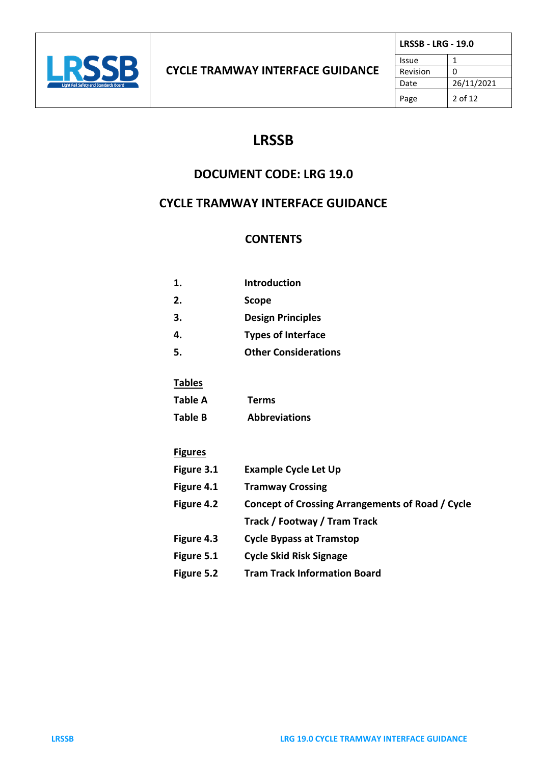

# **LRSSB**

# **DOCUMENT CODE: LRG 19.0**

# **CYCLE TRAMWAY INTERFACE GUIDANCE**

# **CONTENTS**

| 1. | <b>Introduction</b>         |
|----|-----------------------------|
| 2. | <b>Scope</b>                |
| 3. | <b>Design Principles</b>    |
| 4. | <b>Types of Interface</b>   |
|    | <b>Other Considerations</b> |

# **Tables**

| Table A | <b>Terms</b> |
|---------|--------------|
| _       |              |

**Table B Abbreviations**

## **Figures**

| Figure 3.1 | <b>Example Cycle Let Up</b>                             |
|------------|---------------------------------------------------------|
| Figure 4.1 | <b>Tramway Crossing</b>                                 |
| Figure 4.2 | <b>Concept of Crossing Arrangements of Road / Cycle</b> |
|            | Track / Footway / Tram Track                            |
| Figure 4.3 | <b>Cycle Bypass at Tramstop</b>                         |
| Figure 5.1 | <b>Cycle Skid Risk Signage</b>                          |
| Figure 5.2 | <b>Tram Track Information Board</b>                     |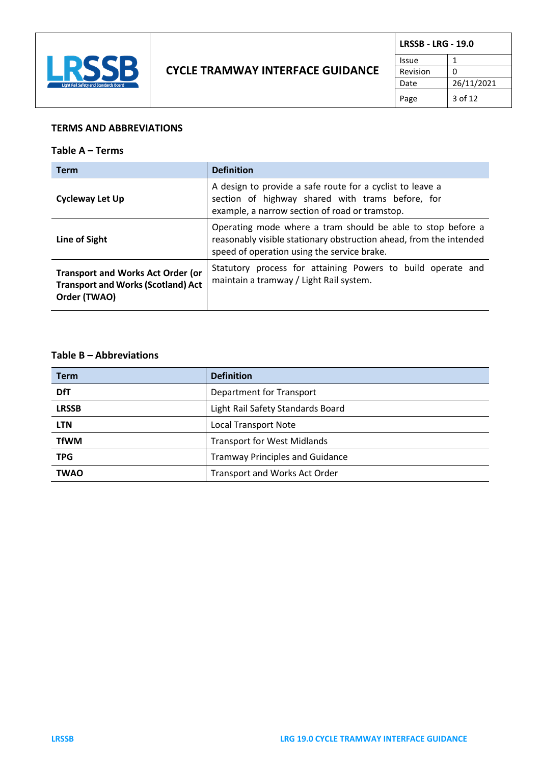

| <b>LRSSB - LRG - 19.0</b> |            |
|---------------------------|------------|
| Issue                     |            |
| Revision                  | O          |
| Date                      | 26/11/2021 |
| Page                      | 3 of 12    |

#### **TERMS AND ABBREVIATIONS**

#### **Table A – Terms**

| <b>Term</b>                                                                                           | <b>Definition</b>                                                                                                                                                                |
|-------------------------------------------------------------------------------------------------------|----------------------------------------------------------------------------------------------------------------------------------------------------------------------------------|
| <b>Cycleway Let Up</b>                                                                                | A design to provide a safe route for a cyclist to leave a<br>section of highway shared with trams before, for<br>example, a narrow section of road or tramstop.                  |
| Line of Sight                                                                                         | Operating mode where a tram should be able to stop before a<br>reasonably visible stationary obstruction ahead, from the intended<br>speed of operation using the service brake. |
| <b>Transport and Works Act Order (or</b><br><b>Transport and Works (Scotland) Act</b><br>Order (TWAO) | Statutory process for attaining Powers to build operate and<br>maintain a tramway / Light Rail system.                                                                           |

## **Table B – Abbreviations**

| <b>Term</b>  | <b>Definition</b>                      |
|--------------|----------------------------------------|
| <b>DfT</b>   | Department for Transport               |
| <b>LRSSB</b> | Light Rail Safety Standards Board      |
| <b>LTN</b>   | <b>Local Transport Note</b>            |
| <b>TfWM</b>  | <b>Transport for West Midlands</b>     |
| <b>TPG</b>   | <b>Tramway Principles and Guidance</b> |
| <b>TWAO</b>  | <b>Transport and Works Act Order</b>   |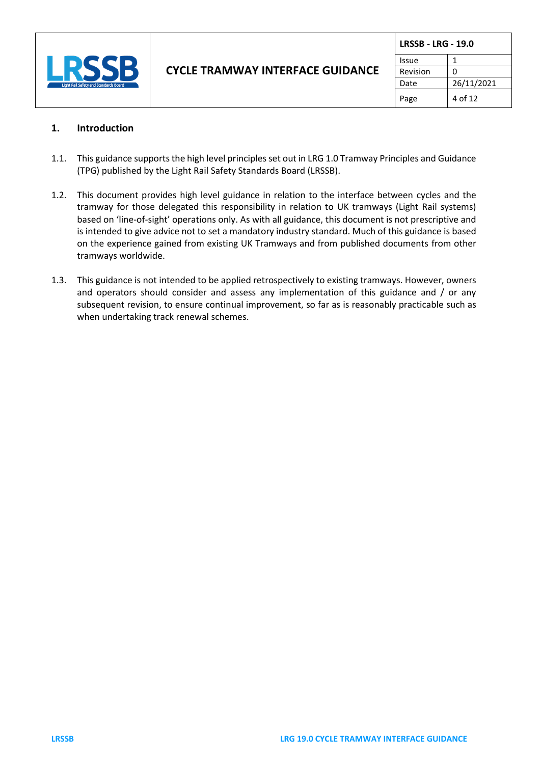

| <b>LRSSB - LRG - 19.0</b> |            |
|---------------------------|------------|
| Issue                     |            |
| Revision                  | ŋ          |
| Date                      | 26/11/2021 |
| Page                      | 4 of 12    |

## **1. Introduction**

- 1.1. This guidance supports the high level principles set out in LRG 1.0 Tramway Principles and Guidance (TPG) published by the Light Rail Safety Standards Board (LRSSB).
- 1.2. This document provides high level guidance in relation to the interface between cycles and the tramway for those delegated this responsibility in relation to UK tramways (Light Rail systems) based on 'line-of-sight' operations only. As with all guidance, this document is not prescriptive and is intended to give advice not to set a mandatory industry standard. Much of this guidance is based on the experience gained from existing UK Tramways and from published documents from other tramways worldwide.
- 1.3. This guidance is not intended to be applied retrospectively to existing tramways. However, owners and operators should consider and assess any implementation of this guidance and / or any subsequent revision, to ensure continual improvement, so far as is reasonably practicable such as when undertaking track renewal schemes.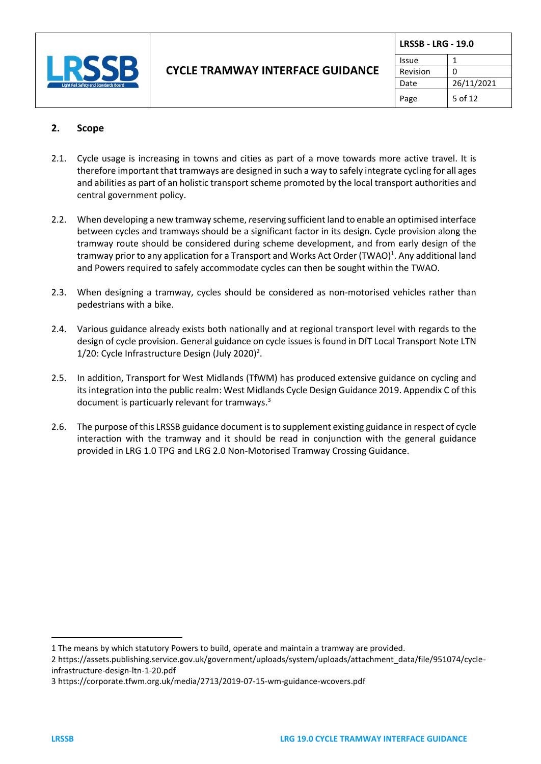

| <b>LRSSB - LRG - 19.0</b> |            |
|---------------------------|------------|
| Issue                     |            |
| Revision                  | 0          |
| Date                      | 26/11/2021 |
| Page                      | 5 of 12    |

## **2. Scope**

- 2.1. Cycle usage is increasing in towns and cities as part of a move towards more active travel. It is therefore important that tramways are designed in such a way to safely integrate cycling for all ages and abilities as part of an holistic transport scheme promoted by the local transport authorities and central government policy.
- 2.2. When developing a new tramway scheme, *r*eserving sufficient land to enable an optimised interface between cycles and tramways should be a significant factor in its design. Cycle provision along the tramway route should be considered during scheme development, and from early design of the tramway prior to any application for a Transport and Works Act Order (TWAO)<sup>1</sup>. Any additional land and Powers required to safely accommodate cycles can then be sought within the TWAO.
- 2.3. When designing a tramway, cycles should be considered as non-motorised vehicles rather than pedestrians with a bike.
- 2.4. Various guidance already exists both nationally and at regional transport level with regards to the design of cycle provision. General guidance on cycle issues is found in DfT Local Transport Note LTN 1/20: Cycle Infrastructure Design (July 2020)<sup>2</sup>.
- 2.5. In addition, Transport for West Midlands (TfWM) has produced extensive guidance on cycling and its integration into the public realm: West Midlands Cycle Design Guidance 2019. Appendix C of this document is particuarly relevant for tramways.<sup>3</sup>
- 2.6. The purpose of this LRSSB guidance document isto supplement existing guidance in respect of cycle interaction with the tramway and it should be read in conjunction with the general guidance provided in LRG 1.0 TPG and LRG 2.0 Non-Motorised Tramway Crossing Guidance.

<sup>1</sup> The means by which statutory Powers to build, operate and maintain a tramway are provided.

<sup>2</sup> https://assets.publishing.service.gov.uk/government/uploads/system/uploads/attachment\_data/file/951074/cycleinfrastructure-design-ltn-1-20.pdf

<sup>3</sup> https://corporate.tfwm.org.uk/media/2713/2019-07-15-wm-guidance-wcovers.pdf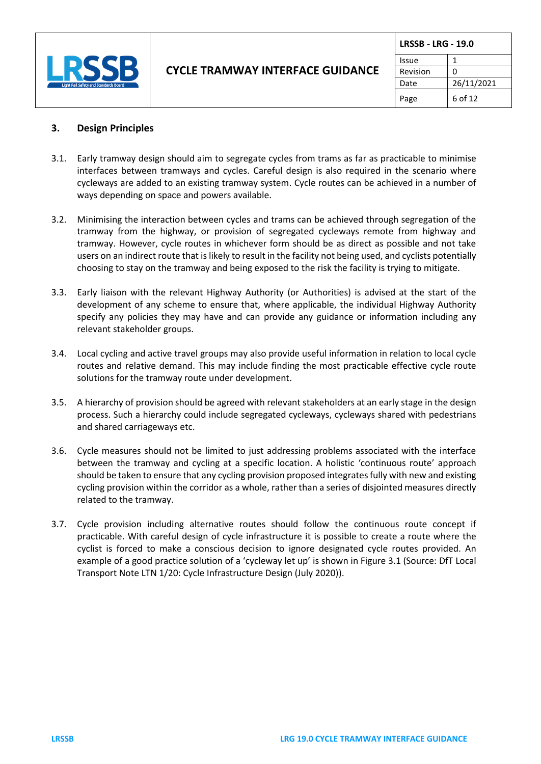

| <b>LRSSB - LRG - 19.0</b> |            |
|---------------------------|------------|
| Issue                     |            |
| Revision                  | n          |
| Date                      | 26/11/2021 |
| Page                      | 6 of 12    |

## **3. Design Principles**

- 3.1. Early tramway design should aim to segregate cycles from trams as far as practicable to minimise interfaces between tramways and cycles. Careful design is also required in the scenario where cycleways are added to an existing tramway system. Cycle routes can be achieved in a number of ways depending on space and powers available.
- 3.2. Minimising the interaction between cycles and trams can be achieved through segregation of the tramway from the highway, or provision of segregated cycleways remote from highway and tramway. However, cycle routes in whichever form should be as direct as possible and not take users on an indirect route that is likely to result in the facility not being used, and cyclists potentially choosing to stay on the tramway and being exposed to the risk the facility is trying to mitigate.
- 3.3. Early liaison with the relevant Highway Authority (or Authorities) is advised at the start of the development of any scheme to ensure that, where applicable, the individual Highway Authority specify any policies they may have and can provide any guidance or information including any relevant stakeholder groups.
- 3.4. Local cycling and active travel groups may also provide useful information in relation to local cycle routes and relative demand. This may include finding the most practicable effective cycle route solutions for the tramway route under development.
- 3.5. A hierarchy of provision should be agreed with relevant stakeholders at an early stage in the design process. Such a hierarchy could include segregated cycleways, cycleways shared with pedestrians and shared carriageways etc.
- 3.6. Cycle measures should not be limited to just addressing problems associated with the interface between the tramway and cycling at a specific location. A holistic 'continuous route' approach should be taken to ensure that any cycling provision proposed integrates fully with new and existing cycling provision within the corridor as a whole, rather than a series of disjointed measures directly related to the tramway.
- 3.7. Cycle provision including alternative routes should follow the continuous route concept if practicable. With careful design of cycle infrastructure it is possible to create a route where the cyclist is forced to make a conscious decision to ignore designated cycle routes provided. An example of a good practice solution of a 'cycleway let up' is shown in Figure 3.1 (Source: DfT Local Transport Note LTN 1/20: Cycle Infrastructure Design (July 2020)).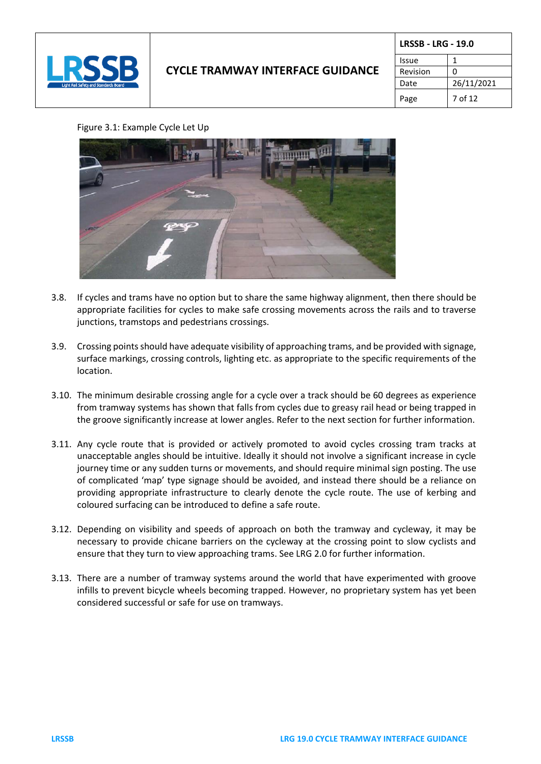

# **CYCLE TRAMWAY INTERFACE GUIDANCE**

| <b>LRSSB - LRG - 19.0</b> |            |  |
|---------------------------|------------|--|
| Issue                     | 1          |  |
| Revision                  | 0          |  |
| Date                      | 26/11/2021 |  |
| Page                      | 7 of 12    |  |

#### Figure 3.1: Example Cycle Let Up



- 3.8. If cycles and trams have no option but to share the same highway alignment, then there should be appropriate facilities for cycles to make safe crossing movements across the rails and to traverse junctions, tramstops and pedestrians crossings.
- 3.9. Crossing points should have adequate visibility of approaching trams, and be provided with signage, surface markings, crossing controls, lighting etc. as appropriate to the specific requirements of the location.
- 3.10. The minimum desirable crossing angle for a cycle over a track should be 60 degrees as experience from tramway systems has shown that falls from cycles due to greasy rail head or being trapped in the groove significantly increase at lower angles. Refer to the next section for further information.
- 3.11. Any cycle route that is provided or actively promoted to avoid cycles crossing tram tracks at unacceptable angles should be intuitive. Ideally it should not involve a significant increase in cycle journey time or any sudden turns or movements, and should require minimal sign posting. The use of complicated 'map' type signage should be avoided, and instead there should be a reliance on providing appropriate infrastructure to clearly denote the cycle route. The use of kerbing and coloured surfacing can be introduced to define a safe route.
- 3.12. Depending on visibility and speeds of approach on both the tramway and cycleway, it may be necessary to provide chicane barriers on the cycleway at the crossing point to slow cyclists and ensure that they turn to view approaching trams. See LRG 2.0 for further information.
- 3.13. There are a number of tramway systems around the world that have experimented with groove infills to prevent bicycle wheels becoming trapped. However, no proprietary system has yet been considered successful or safe for use on tramways.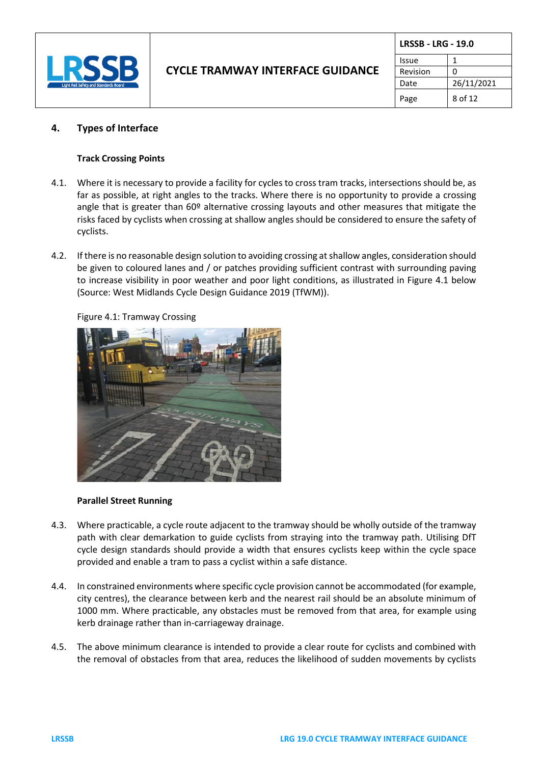

|          | <b>LRSSB - LRG - 19.0</b> |  |
|----------|---------------------------|--|
| Issue    |                           |  |
| Revision |                           |  |
| Date     | 26/11/2021                |  |
| Page     | 8 of 12                   |  |

#### **4. Types of Interface**

#### **Track Crossing Points**

- 4.1. Where it is necessary to provide a facility for cycles to cross tram tracks, intersections should be, as far as possible, at right angles to the tracks. Where there is no opportunity to provide a crossing angle that is greater than 60º alternative crossing layouts and other measures that mitigate the risks faced by cyclists when crossing at shallow angles should be considered to ensure the safety of cyclists.
- 4.2. If there is no reasonable design solution to avoiding crossing at shallow angles, consideration should be given to coloured lanes and / or patches providing sufficient contrast with surrounding paving to increase visibility in poor weather and poor light conditions, as illustrated in Figure 4.1 below (Source: West Midlands Cycle Design Guidance 2019 (TfWM)).

Figure 4.1: Tramway Crossing



#### **Parallel Street Running**

- 4.3. Where practicable, a cycle route adjacent to the tramway should be wholly outside of the tramway path with clear demarkation to guide cyclists from straying into the tramway path. Utilising DfT cycle design standards should provide a width that ensures cyclists keep within the cycle space provided and enable a tram to pass a cyclist within a safe distance.
- 4.4. In constrained environments where specific cycle provision cannot be accommodated (for example, city centres), the clearance between kerb and the nearest rail should be an absolute minimum of 1000 mm. Where practicable, any obstacles must be removed from that area, for example using kerb drainage rather than in-carriageway drainage.
- 4.5. The above minimum clearance is intended to provide a clear route for cyclists and combined with the removal of obstacles from that area, reduces the likelihood of sudden movements by cyclists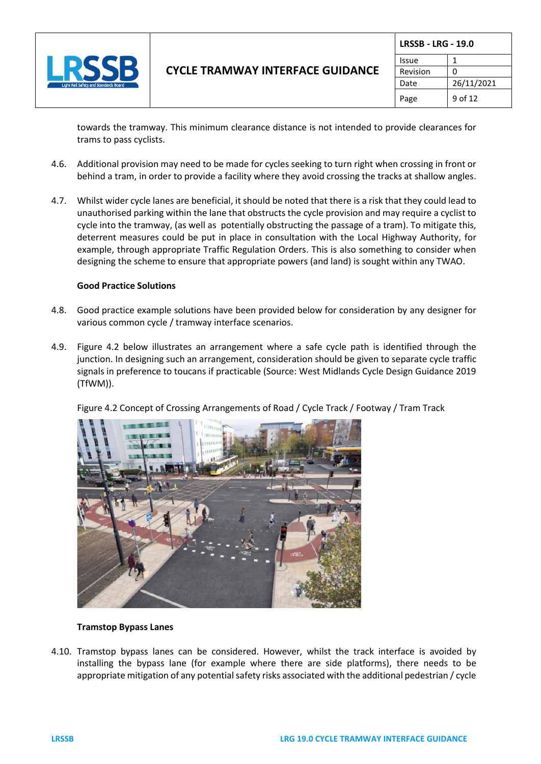

|          | <b>LRSSB - LRG - 19.0</b> |  |
|----------|---------------------------|--|
| Issue    |                           |  |
| Revision | n                         |  |
| Date     | 26/11/2021                |  |
| Page     | 9 of 12                   |  |

towards the tramway. This minimum clearance distance is not intended to provide clearances for trams to pass cyclists.

- 4.6. Additional provision may need to be made for cycles seeking to turn right when crossing in front or behind a tram, in order to provide a facility where they avoid crossing the tracks at shallow angles.
- 4.7. Whilst wider cycle lanes are beneficial, it should be noted that there is a risk that they could lead to unauthorised parking within the lane that obstructs the cycle provision and may require a cyclist to cycle into the tramway, (as well as potentially obstructing the passage of a tram). To mitigate this, deterrent measures could be put in place in consultation with the Local Highway Authority, for example, through appropriate Traffic Regulation Orders. This is also something to consider when designing the scheme to ensure that appropriate powers (and land) is sought within any TWAO.

#### **Good Practice Solutions**

- 4.8. Good practice example solutions have been provided below for consideration by any designer for various common cycle / tramway interface scenarios.
- 4.9. Figure 4.2 below illustrates an arrangement where a safe cycle path is identified through the junction. In designing such an arrangement, consideration should be given to separate cycle traffic signals in preference to toucans if practicable (Source: West Midlands Cycle Design Guidance 2019 (TfWM)).

Figure 4.2 Concept of Crossing Arrangements of Road / Cycle Track / Footway / Tram Track



#### **Tramstop Bypass Lanes**

4.10. Tramstop bypass lanes can be considered. However, whilst the track interface is avoided by installing the bypass lane (for example where there are side platforms), there needs to be appropriate mitigation of any potential safety risks associated with the additional pedestrian / cycle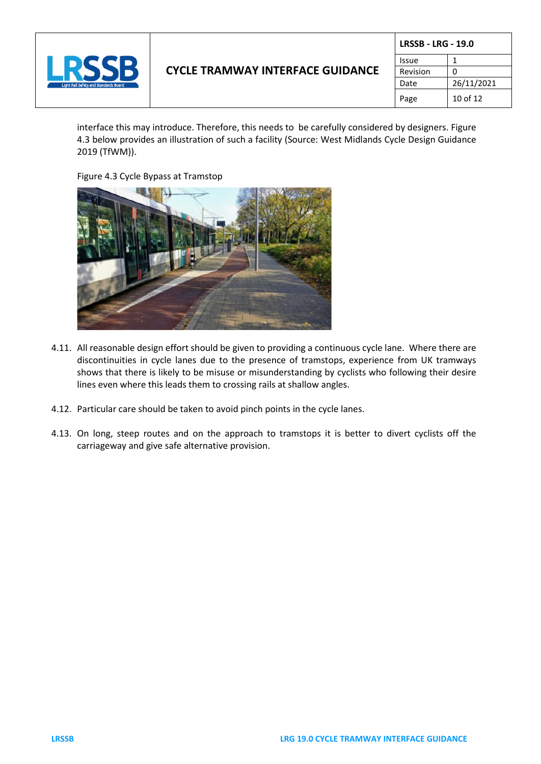

# **CYCLE TRAMWAY INTERFACE GUIDANCE**

| <b>LRSSB - LRG - 19.0</b> |            |
|---------------------------|------------|
| Issue                     |            |
| Revision                  | O          |
| Date                      | 26/11/2021 |
| Page                      | 10 of 12   |

interface this may introduce. Therefore, this needs to be carefully considered by designers. Figure 4.3 below provides an illustration of such a facility (Source: West Midlands Cycle Design Guidance 2019 (TfWM)).

Figure 4.3 Cycle Bypass at Tramstop



- 4.11. All reasonable design effort should be given to providing a continuous cycle lane. Where there are discontinuities in cycle lanes due to the presence of tramstops, experience from UK tramways shows that there is likely to be misuse or misunderstanding by cyclists who following their desire lines even where this leads them to crossing rails at shallow angles.
- 4.12. Particular care should be taken to avoid pinch points in the cycle lanes.
- 4.13. On long, steep routes and on the approach to tramstops it is better to divert cyclists off the carriageway and give safe alternative provision.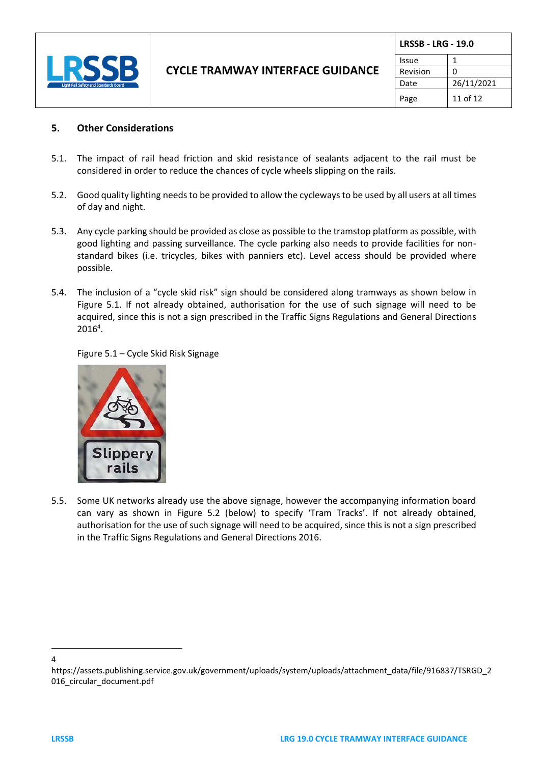

|          | <b>LRSSB - LRG - 19.0</b> |  |
|----------|---------------------------|--|
| Issue    | 1                         |  |
| Revision | O                         |  |
| Date     | 26/11/2021                |  |
| Page     | 11 of 12                  |  |

## **5. Other Considerations**

- 5.1. The impact of rail head friction and skid resistance of sealants adjacent to the rail must be considered in order to reduce the chances of cycle wheels slipping on the rails.
- 5.2. Good quality lighting needs to be provided to allow the cycleways to be used by all users at all times of day and night.
- 5.3. Any cycle parking should be provided as close as possible to the tramstop platform as possible, with good lighting and passing surveillance. The cycle parking also needs to provide facilities for nonstandard bikes (i.e. tricycles, bikes with panniers etc). Level access should be provided where possible.
- 5.4. The inclusion of a "cycle skid risk" sign should be considered along tramways as shown below in Figure 5.1. If not already obtained, authorisation for the use of such signage will need to be acquired, since this is not a sign prescribed in the Traffic Signs Regulations and General Directions 2016<sup>4</sup> .

Figure 5.1 – Cycle Skid Risk Signage



5.5. Some UK networks already use the above signage, however the accompanying information board can vary as shown in Figure 5.2 (below) to specify 'Tram Tracks'. If not already obtained, authorisation for the use of such signage will need to be acquired, since this is not a sign prescribed in the Traffic Signs Regulations and General Directions 2016.

<sup>4</sup>

https://assets.publishing.service.gov.uk/government/uploads/system/uploads/attachment\_data/file/916837/TSRGD\_2 016\_circular\_document.pdf